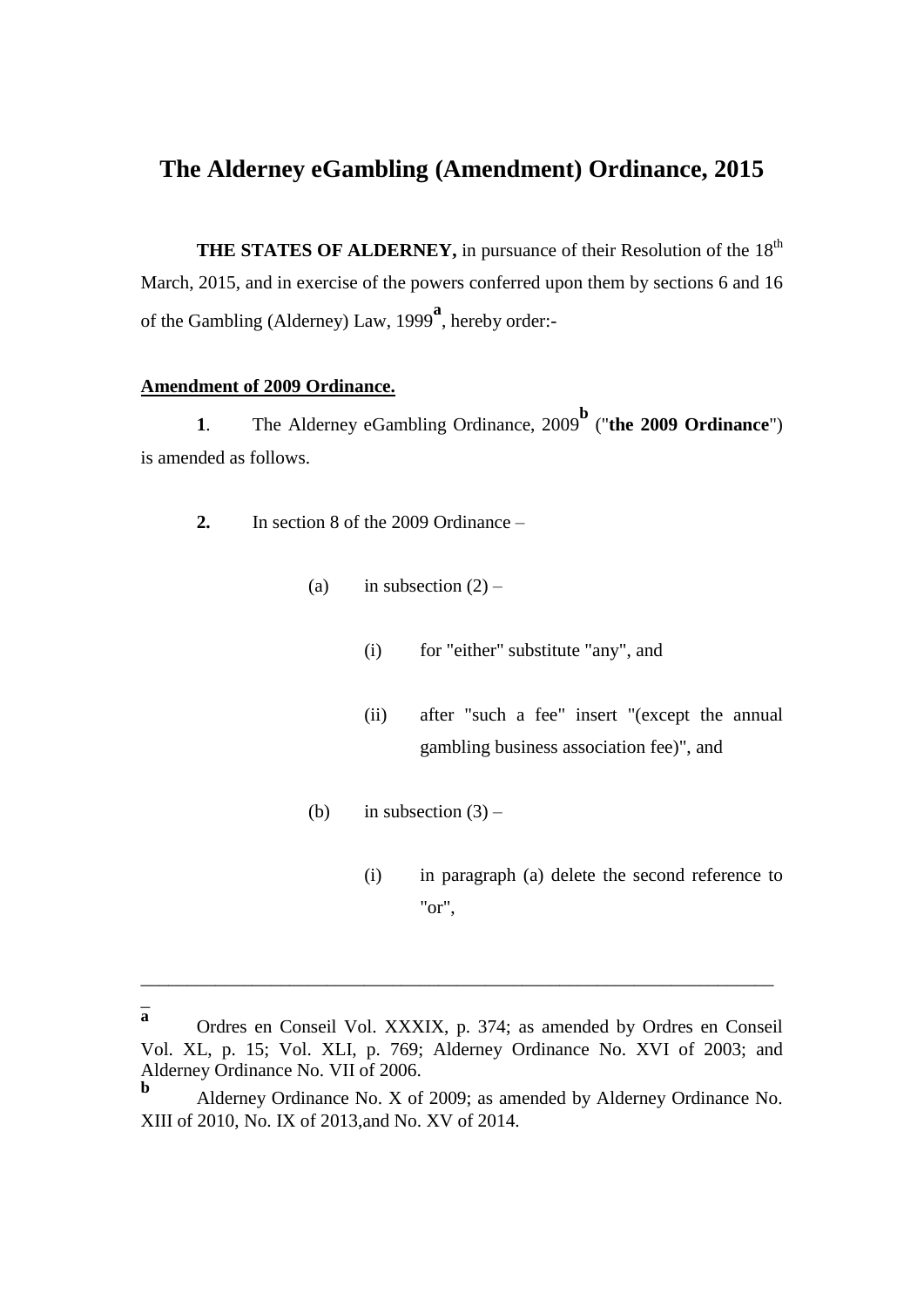# **The Alderney eGambling (Amendment) Ordinance, 2015**

**THE STATES OF ALDERNEY, in pursuance of their Resolution of the 18<sup>th</sup>** March, 2015, and in exercise of the powers conferred upon them by sections 6 and 16 of the Gambling (Alderney) Law, 1999**<sup>a</sup>** , hereby order:-

# **Amendment of 2009 Ordinance.**

**1**. The Alderney eGambling Ordinance, 2009 **b** ("**the 2009 Ordinance**") is amended as follows.

- **2.** In section 8 of the 2009 Ordinance
	- (a) in subsection  $(2)$ 
		- (i) for "either" substitute "any", and
		- (ii) after "such a fee" insert "(except the annual gambling business association fee)", and
	- (b) in subsection  $(3)$ 
		- (i) in paragraph (a) delete the second reference to "or",

 $\overline{a}$ **a**

\_\_\_\_\_\_\_\_\_\_\_\_\_\_\_\_\_\_\_\_\_\_\_\_\_\_\_\_\_\_\_\_\_\_\_\_\_\_\_\_\_\_\_\_\_\_\_\_\_\_\_\_\_\_\_\_\_\_\_\_\_\_\_\_\_\_\_\_

Ordres en Conseil Vol. XXXIX, p. 374; as amended by Ordres en Conseil Vol. XL, p. 15; Vol. XLI, p. 769; Alderney Ordinance No. XVI of 2003; and Alderney Ordinance No. VII of 2006.

**b** Alderney Ordinance No. X of 2009; as amended by Alderney Ordinance No. XIII of 2010, No. IX of 2013,and No. XV of 2014.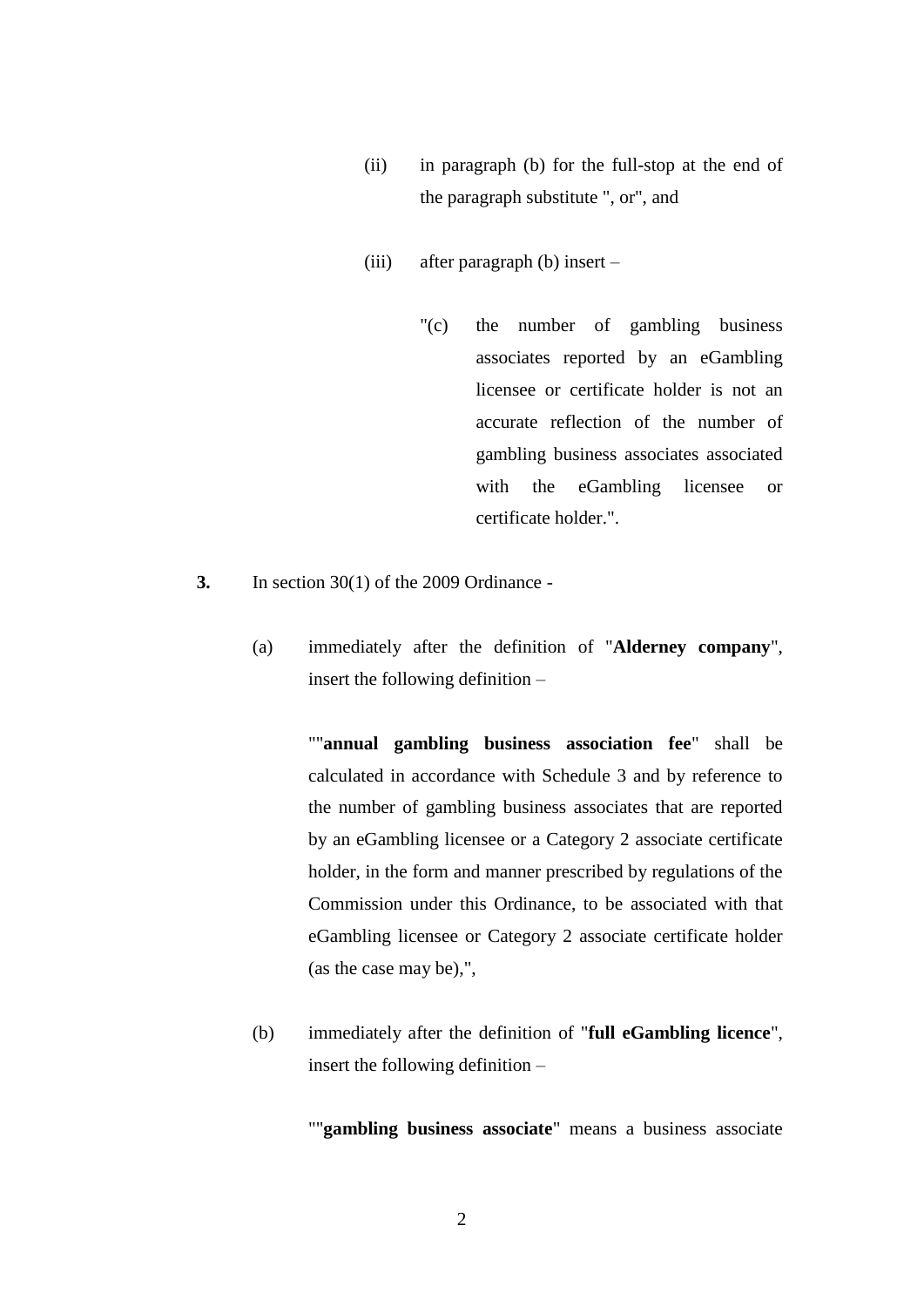- (ii) in paragraph (b) for the full-stop at the end of the paragraph substitute ", or", and
- (iii) after paragraph (b) insert
	- "(c) the number of gambling business associates reported by an eGambling licensee or certificate holder is not an accurate reflection of the number of gambling business associates associated with the eGambling licensee or certificate holder.".
- **3.** In section 30(1) of the 2009 Ordinance
	- (a) immediately after the definition of "**Alderney company**", insert the following definition –

""**annual gambling business association fee**" shall be calculated in accordance with Schedule 3 and by reference to the number of gambling business associates that are reported by an eGambling licensee or a Category 2 associate certificate holder, in the form and manner prescribed by regulations of the Commission under this Ordinance, to be associated with that eGambling licensee or Category 2 associate certificate holder (as the case may be),",

(b) immediately after the definition of "**full eGambling licence**", insert the following definition –

""**gambling business associate**" means a business associate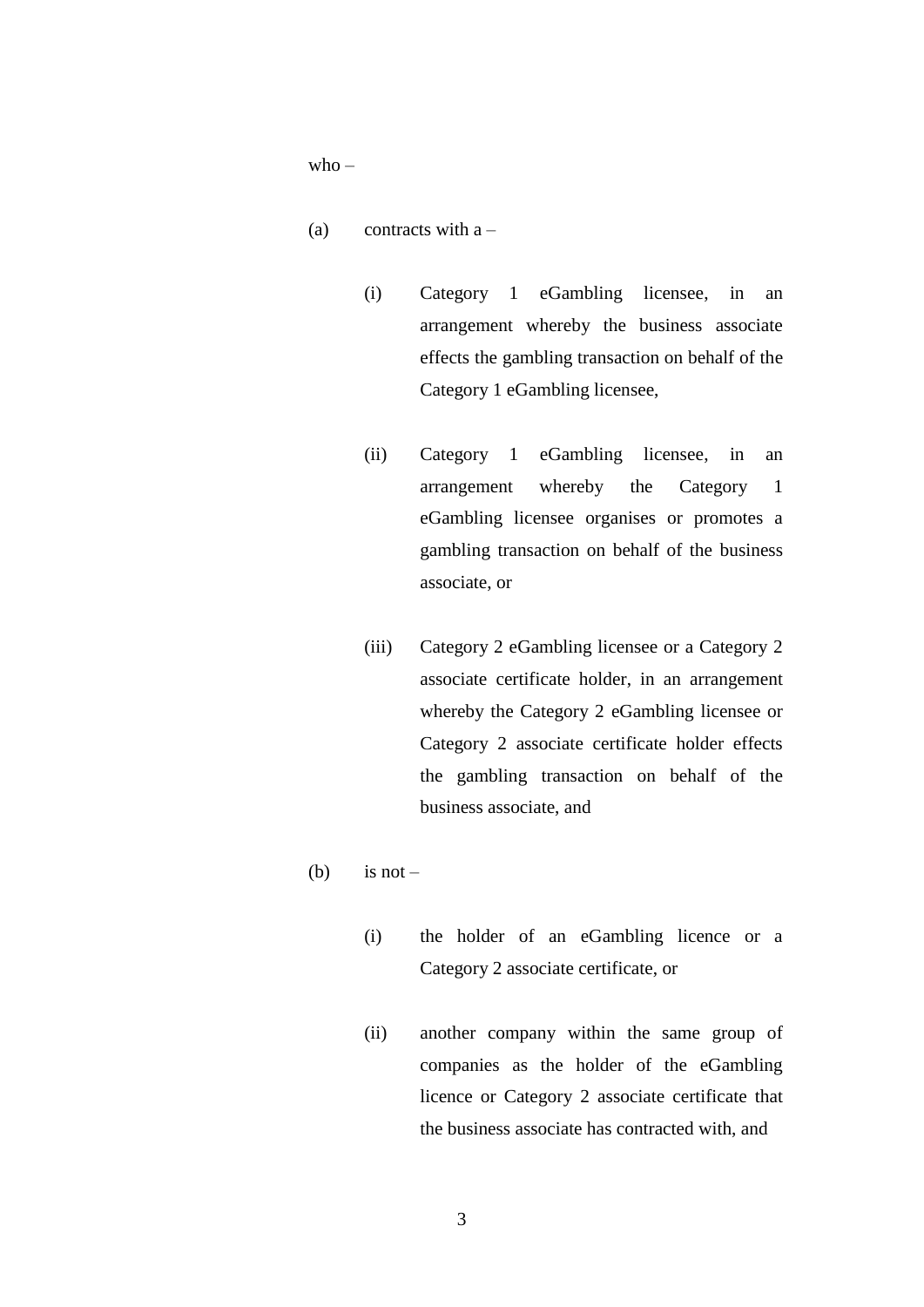$who -$ 

- (a) contracts with  $a -$ 
	- (i) Category 1 eGambling licensee, in an arrangement whereby the business associate effects the gambling transaction on behalf of the Category 1 eGambling licensee,
	- (ii) Category 1 eGambling licensee, in an arrangement whereby the Category 1 eGambling licensee organises or promotes a gambling transaction on behalf of the business associate, or
	- (iii) Category 2 eGambling licensee or a Category 2 associate certificate holder, in an arrangement whereby the Category 2 eGambling licensee or Category 2 associate certificate holder effects the gambling transaction on behalf of the business associate, and

#### (b) is not –

- (i) the holder of an eGambling licence or a Category 2 associate certificate, or
- (ii) another company within the same group of companies as the holder of the eGambling licence or Category 2 associate certificate that the business associate has contracted with, and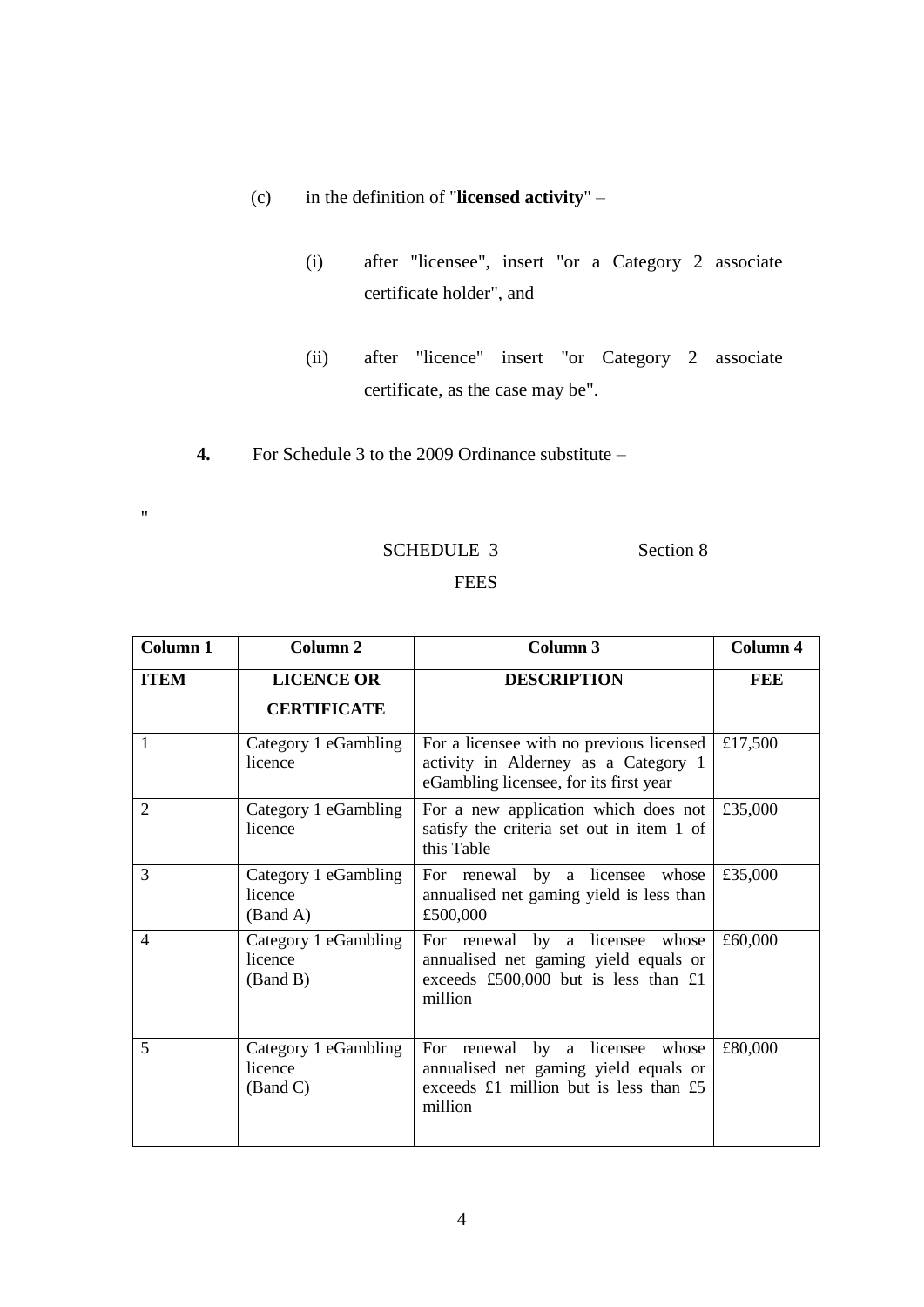- (c) in the definition of "**licensed activity**"
	- (i) after "licensee", insert "or a Category 2 associate certificate holder", and
	- (ii) after "licence" insert "or Category 2 associate certificate, as the case may be".
- **4.** For Schedule 3 to the 2009 Ordinance substitute –

 $\mathbf{u}$ 

# SCHEDULE 3 Section 8

# **FEES**

| Column 1       | Column <sub>2</sub>                         | Column 3                                                                                                                         | Column 4 |
|----------------|---------------------------------------------|----------------------------------------------------------------------------------------------------------------------------------|----------|
| <b>ITEM</b>    | <b>LICENCE OR</b><br><b>CERTIFICATE</b>     | <b>DESCRIPTION</b>                                                                                                               | FEE      |
| 1              | Category 1 eGambling<br>licence             | For a licensee with no previous licensed<br>activity in Alderney as a Category 1<br>eGambling licensee, for its first year       | £17,500  |
| 2              | Category 1 eGambling<br>licence             | For a new application which does not<br>satisfy the criteria set out in item 1 of<br>this Table                                  | £35,000  |
| 3              | Category 1 eGambling<br>licence<br>(Band A) | For renewal by a licensee whose<br>annualised net gaming yield is less than<br>£500,000                                          | £35,000  |
| $\overline{4}$ | Category 1 eGambling<br>licence<br>(Band B) | For renewal by a licensee whose<br>annualised net gaming yield equals or<br>exceeds £500,000 but is less than $£1$<br>million    | £60,000  |
| 5              | Category 1 eGambling<br>licence<br>(Band C) | For renewal by a licensee<br>whose<br>annualised net gaming yield equals or<br>exceeds £1 million but is less than £5<br>million | £80,000  |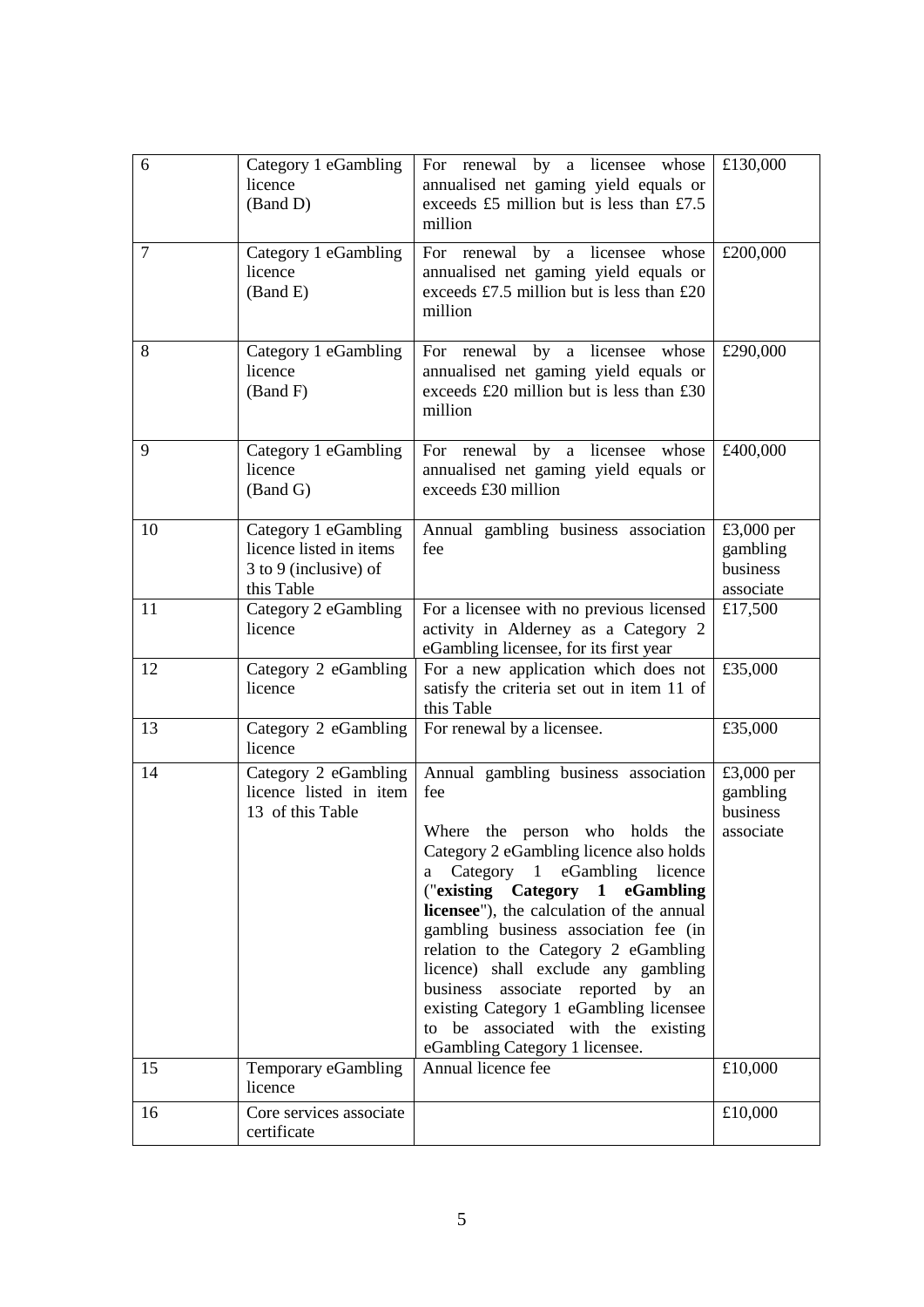| 6  | Category 1 eGambling<br>licence<br>(Band D)                                            | For renewal by a licensee whose<br>annualised net gaming yield equals or<br>exceeds £5 million but is less than £7.5<br>million                                                                                                                                                                                                                                                                                                                                                                                                                | £130,000                                        |
|----|----------------------------------------------------------------------------------------|------------------------------------------------------------------------------------------------------------------------------------------------------------------------------------------------------------------------------------------------------------------------------------------------------------------------------------------------------------------------------------------------------------------------------------------------------------------------------------------------------------------------------------------------|-------------------------------------------------|
| 7  | Category 1 eGambling<br>licence<br>(Band E)                                            | For renewal by<br>a licensee<br>whose<br>annualised net gaming yield equals or<br>exceeds £7.5 million but is less than £20<br>million                                                                                                                                                                                                                                                                                                                                                                                                         | £200,000                                        |
| 8  | Category 1 eGambling<br>licence<br>(Band F)                                            | For renewal by a licensee whose<br>annualised net gaming yield equals or<br>exceeds $£20$ million but is less than £30<br>million                                                                                                                                                                                                                                                                                                                                                                                                              | £290,000                                        |
| 9  | Category 1 eGambling<br>licence<br>(Band G)                                            | For renewal by a licensee whose<br>annualised net gaming yield equals or<br>exceeds £30 million                                                                                                                                                                                                                                                                                                                                                                                                                                                | £400,000                                        |
| 10 | Category 1 eGambling<br>licence listed in items<br>3 to 9 (inclusive) of<br>this Table | Annual gambling business association<br>fee                                                                                                                                                                                                                                                                                                                                                                                                                                                                                                    | £3,000 per<br>gambling<br>business<br>associate |
| 11 | Category 2 eGambling<br>licence                                                        | For a licensee with no previous licensed<br>activity in Alderney as a Category 2<br>eGambling licensee, for its first year                                                                                                                                                                                                                                                                                                                                                                                                                     | £17,500                                         |
| 12 | Category 2 eGambling<br>licence                                                        | For a new application which does not<br>satisfy the criteria set out in item 11 of<br>this Table                                                                                                                                                                                                                                                                                                                                                                                                                                               | £35,000                                         |
| 13 | Category 2 eGambling<br>licence                                                        | For renewal by a licensee.                                                                                                                                                                                                                                                                                                                                                                                                                                                                                                                     | £35,000                                         |
| 14 | Category 2 eGambling<br>licence listed in item<br>13 of this Table                     | Annual gambling business association<br>fee<br>Where<br>the person who holds<br>the<br>Category 2 eGambling licence also holds<br>Category 1 eGambling<br>licence<br>a<br>("existing Category 1 eGambling<br>licensee"), the calculation of the annual<br>gambling business association fee (in<br>relation to the Category 2 eGambling<br>licence) shall exclude any gambling<br>business<br>associate reported by<br>an<br>existing Category 1 eGambling licensee<br>be associated with the existing<br>to<br>eGambling Category 1 licensee. | £3,000 per<br>gambling<br>business<br>associate |
| 15 | Temporary eGambling<br>licence                                                         | Annual licence fee                                                                                                                                                                                                                                                                                                                                                                                                                                                                                                                             | £10,000                                         |
| 16 | Core services associate<br>certificate                                                 |                                                                                                                                                                                                                                                                                                                                                                                                                                                                                                                                                | £10,000                                         |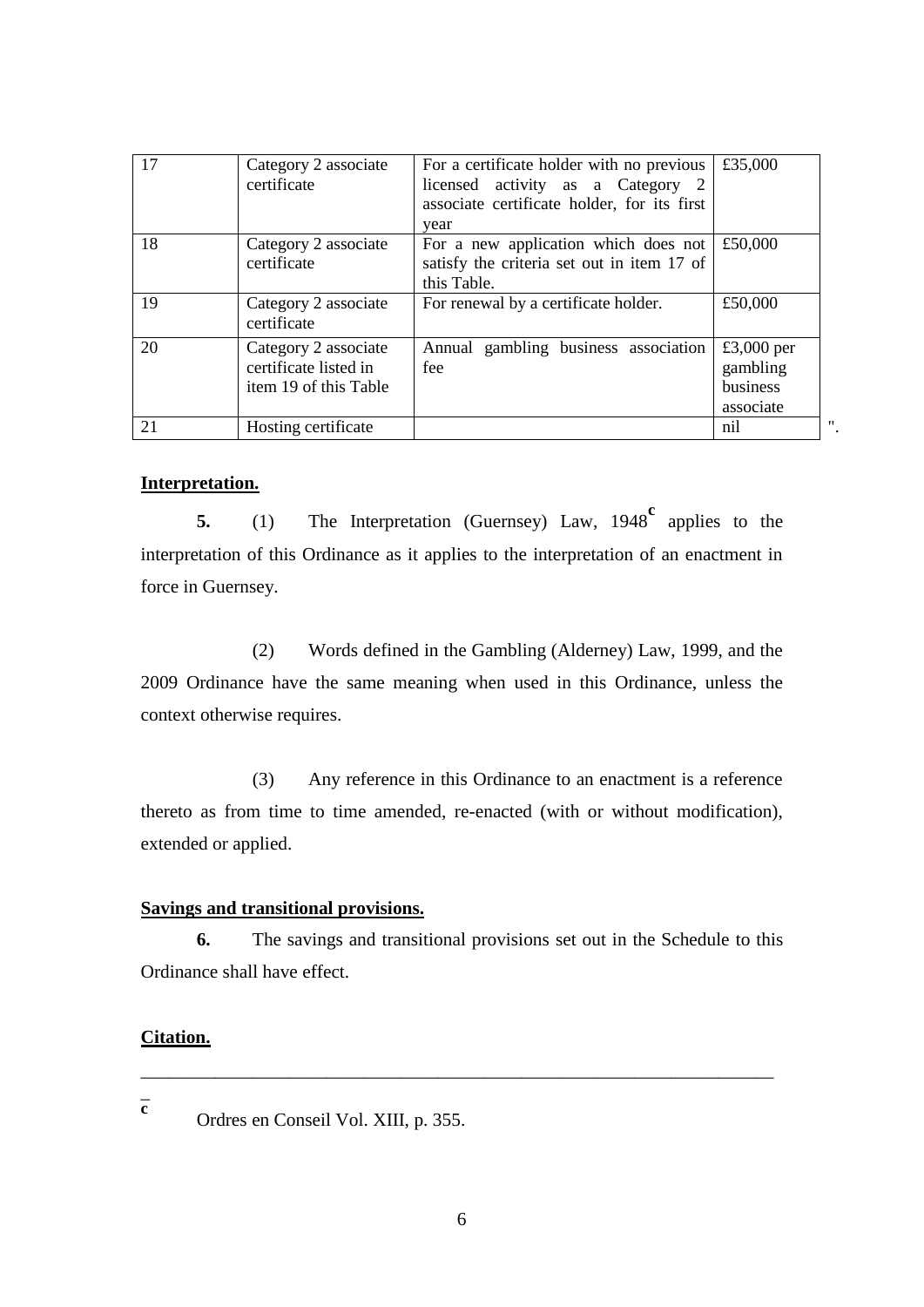| 17 | Category 2 associate<br>certificate                                    | For a certificate holder with no previous<br>licensed activity as a Category 2<br>associate certificate holder, for its first<br>year | £35,000                                         |
|----|------------------------------------------------------------------------|---------------------------------------------------------------------------------------------------------------------------------------|-------------------------------------------------|
| 18 | Category 2 associate<br>certificate                                    | For a new application which does not<br>satisfy the criteria set out in item 17 of<br>this Table.                                     | £50,000                                         |
| 19 | Category 2 associate<br>certificate                                    | For renewal by a certificate holder.                                                                                                  | £50,000                                         |
| 20 | Category 2 associate<br>certificate listed in<br>item 19 of this Table | Annual gambling business association<br>fee                                                                                           | £3,000 per<br>gambling<br>business<br>associate |
| 21 | Hosting certificate                                                    |                                                                                                                                       | nil                                             |

# **Interpretation.**

**5.** (1) The Interpretation (Guernsey) Law, 1948<sup>c</sup> applies to the interpretation of this Ordinance as it applies to the interpretation of an enactment in force in Guernsey.

(2) Words defined in the Gambling (Alderney) Law, 1999, and the 2009 Ordinance have the same meaning when used in this Ordinance, unless the context otherwise requires.

(3) Any reference in this Ordinance to an enactment is a reference thereto as from time to time amended, re-enacted (with or without modification), extended or applied.

# **Savings and transitional provisions.**

**6.** The savings and transitional provisions set out in the Schedule to this Ordinance shall have effect.

\_\_\_\_\_\_\_\_\_\_\_\_\_\_\_\_\_\_\_\_\_\_\_\_\_\_\_\_\_\_\_\_\_\_\_\_\_\_\_\_\_\_\_\_\_\_\_\_\_\_\_\_\_\_\_\_\_\_\_\_\_\_\_\_\_\_\_\_

#### **Citation.**

 $\overline{a}$ **c**

Ordres en Conseil Vol. XIII, p. 355.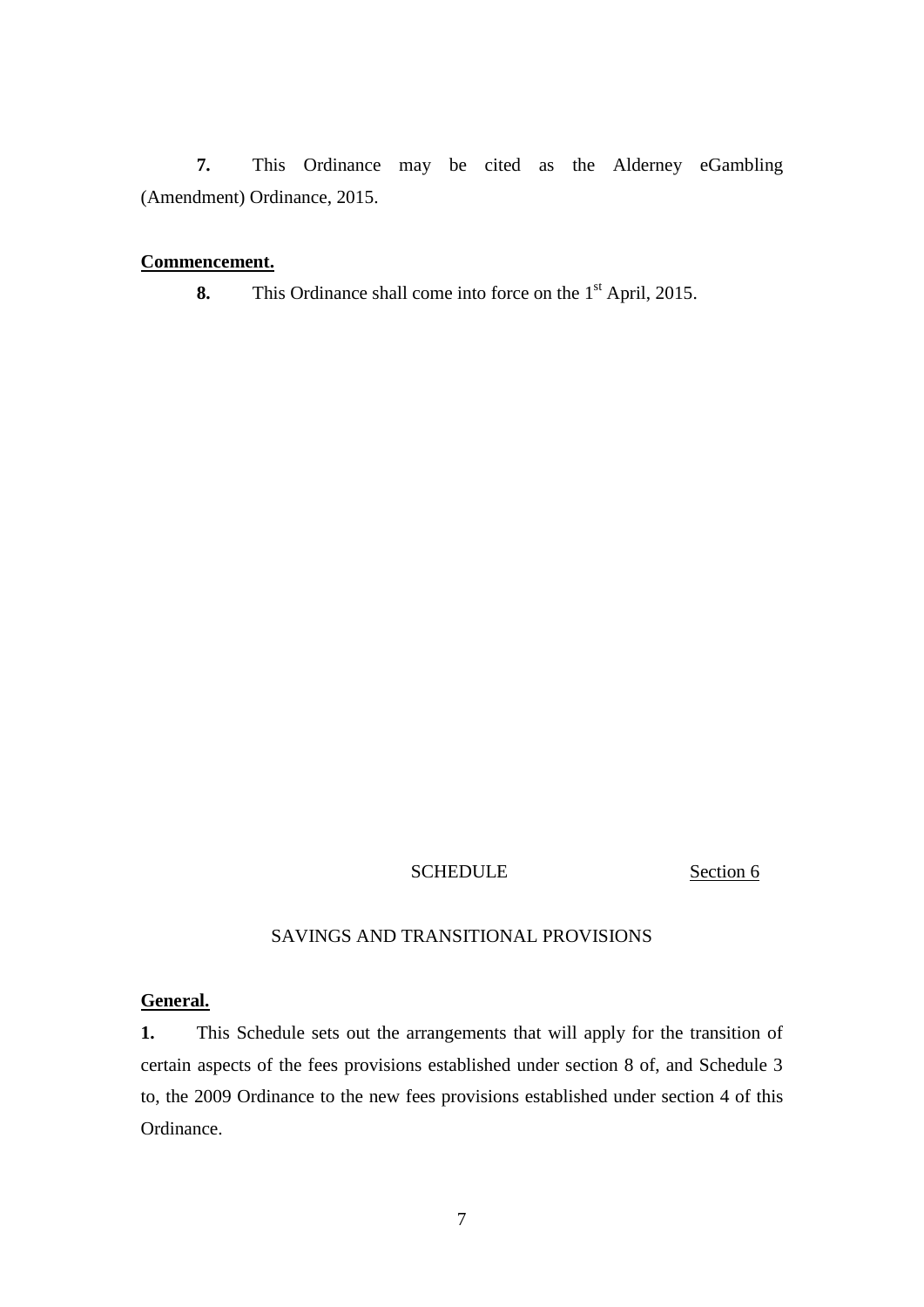**7.** This Ordinance may be cited as the Alderney eGambling (Amendment) Ordinance, 2015.

#### **Commencement.**

**8.** This Ordinance shall come into force on the 1<sup>st</sup> April, 2015.

### SCHEDULE Section 6

# SAVINGS AND TRANSITIONAL PROVISIONS

# **General.**

**1.** This Schedule sets out the arrangements that will apply for the transition of certain aspects of the fees provisions established under section 8 of, and Schedule 3 to, the 2009 Ordinance to the new fees provisions established under section 4 of this Ordinance.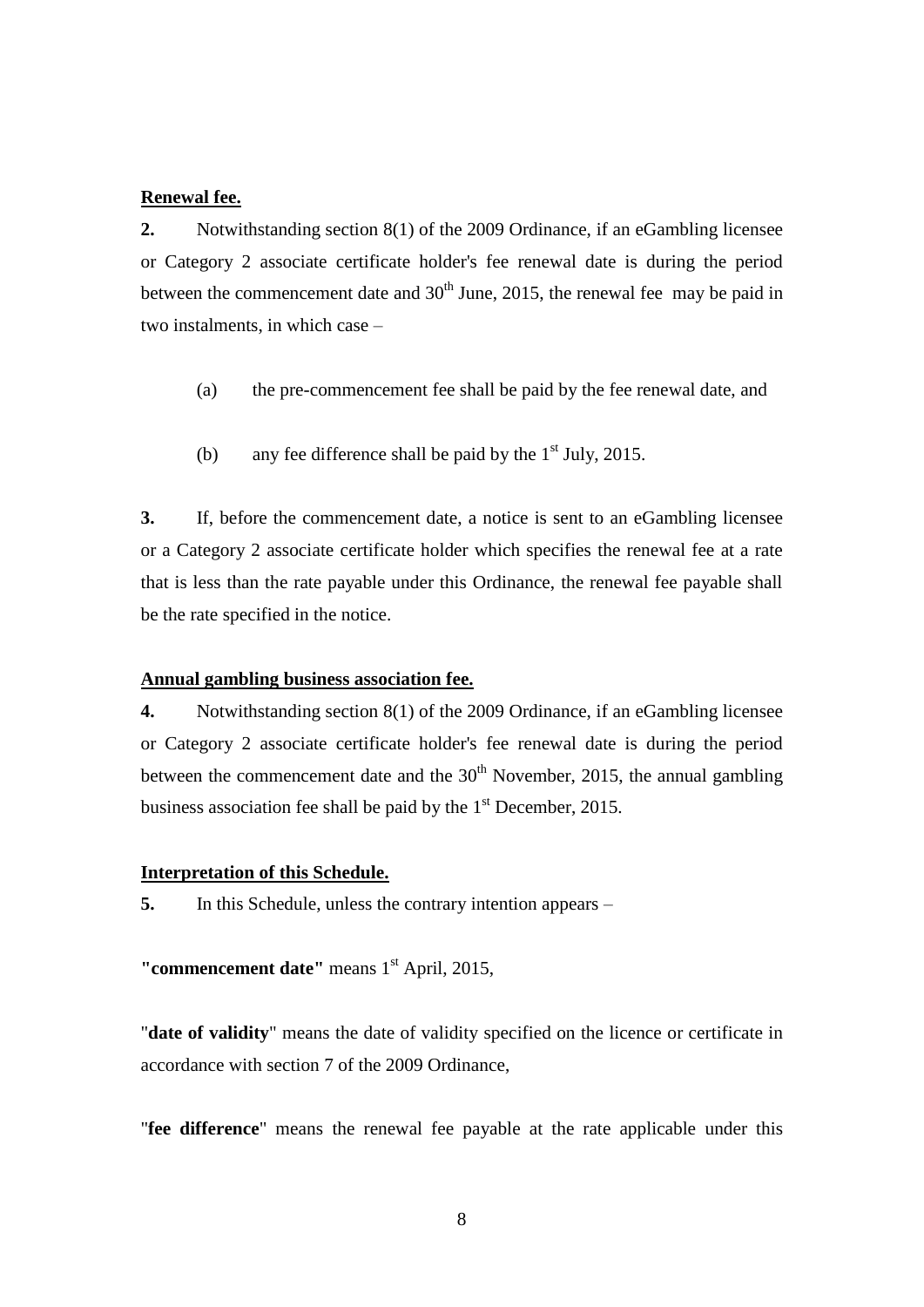#### **Renewal fee.**

**2.** Notwithstanding section 8(1) of the 2009 Ordinance, if an eGambling licensee or Category 2 associate certificate holder's fee renewal date is during the period between the commencement date and  $30<sup>th</sup>$  June, 2015, the renewal fee may be paid in two instalments, in which case –

- (a) the pre-commencement fee shall be paid by the fee renewal date, and
- (b) any fee difference shall be paid by the  $1<sup>st</sup>$  July, 2015.

**3.** If, before the commencement date, a notice is sent to an eGambling licensee or a Category 2 associate certificate holder which specifies the renewal fee at a rate that is less than the rate payable under this Ordinance, the renewal fee payable shall be the rate specified in the notice.

#### **Annual gambling business association fee.**

**4.** Notwithstanding section 8(1) of the 2009 Ordinance, if an eGambling licensee or Category 2 associate certificate holder's fee renewal date is during the period between the commencement date and the  $30<sup>th</sup>$  November, 2015, the annual gambling business association fee shall be paid by the  $1<sup>st</sup>$  December, 2015.

#### **Interpretation of this Schedule.**

**5.** In this Schedule, unless the contrary intention appears –

"**commencement date**" means 1<sup>st</sup> April, 2015,

"**date of validity**" means the date of validity specified on the licence or certificate in accordance with section 7 of the 2009 Ordinance,

"**fee difference**" means the renewal fee payable at the rate applicable under this